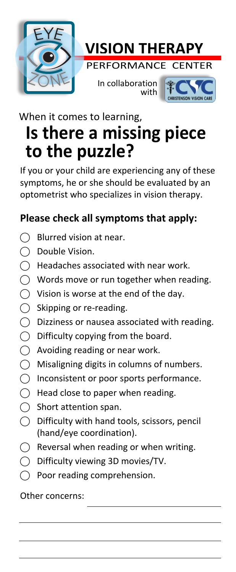



In collaboration with



#### **Is there a missing piece to the puzzle?** When it comes to learning,

If you or your child are experiencing any of these symptoms, he or she should be evaluated by an optometrist who specializes in vision therapy.

#### **Please check all symptoms that apply:**

- Blurred vision at near.
- ⃝ Double Vision.
- ⃝ Headaches associated with near work.
- $\bigcirc$  Words move or run together when reading.
- $\bigcirc$  Vision is worse at the end of the day.
- $\bigcirc$  Skipping or re-reading.<br> $\bigcirc$  Dizziness or nausea ass
- ⃝ Dizziness or nausea associated with reading.
- $\bigcirc$  Difficulty copying from the board.
- $\bigcirc$  Avoiding reading or near work.
- ⃝ Misaligning digits in columns of numbers.
- ⃝ Inconsistent or poor sports performance.
- $\bigcirc$  Head close to paper when reading.
- $\bigcap$  Short attention span.
- $\bigcap$  Difficulty with hand tools, scissors, pencil (hand/eye coordination).
- $\bigcap$  Reversal when reading or when writing.
- ⃝ Difficulty viewing 3D movies/TV.
- Poor reading comprehension.

Other concerns: